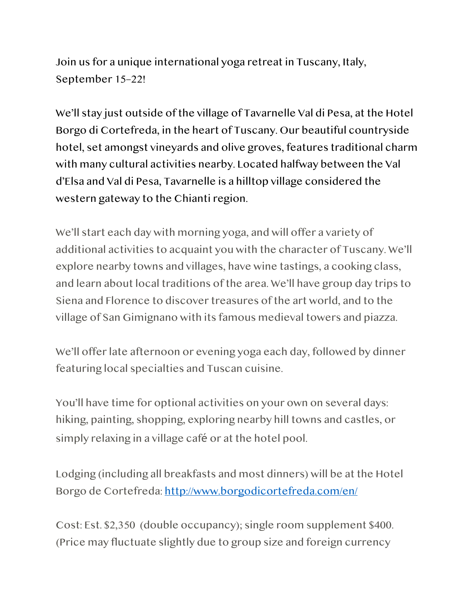Join us for a unique international yoga retreat in Tuscany, Italy, September 15–22!

We'll stay just outside of the village of Tavarnelle Val di Pesa, at the Hotel Borgo di Cortefreda, in the heart of Tuscany. Our beautiful countryside hotel, set amongst vineyards and olive groves, features traditional charm with many cultural activities nearby. Located halfway between the Val d'Elsa and Val di Pesa, Tavarnelle is a hilltop village considered the western gateway to the Chianti region.

We'll start each day with morning yoga, and will offer a variety of additional activities to acquaint you with the character of Tuscany. We'll explore nearby towns and villages, have wine tastings, a cooking class, and learn about local traditions of the area. We'll have group day trips to Siena and Florence to discover treasures of the art world, and to the village of San Gimignano with its famous medieval towers and piazza.

We'll offer late afternoon or evening yoga each day, followed by dinner featuring local specialties and Tuscan cuisine.

You'll have time for optional activities on your own on several days: hiking, painting, shopping, exploring nearby hill towns and castles, or simply relaxing in a village café or at the hotel pool.

Lodging (including all breakfasts and most dinners) will be at the Hotel Borgo de Cortefreda: <http://www.borgodicortefreda.com/en/>

Cost: Est. \$2,350 (double occupancy); single room supplement \$400. (Price may fluctuate slightly due to group size and foreign currency